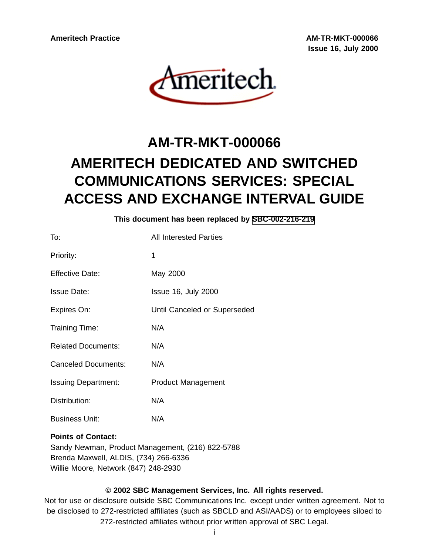**Ameritech Practice AM-TR-MKT-000066 Issue 16, July 2000**



# **AM-TR-MKT-000066 AMERITECH DEDICATED AND SWITCHED COMMUNICATIONS SERVICES: SPECIAL ACCESS AND EXCHANGE INTERVAL GUIDE**

**This document has been replaced by SBC-002-216-219**

| To:                        | <b>All Interested Parties</b> |
|----------------------------|-------------------------------|
| Priority:                  | 1                             |
| <b>Effective Date:</b>     | May 2000                      |
| <b>Issue Date:</b>         | <b>Issue 16, July 2000</b>    |
| Expires On:                | Until Canceled or Superseded  |
| Training Time:             | N/A                           |
| <b>Related Documents:</b>  | N/A                           |
| <b>Canceled Documents:</b> | N/A                           |
| <b>Issuing Department:</b> | <b>Product Management</b>     |
| Distribution:              | N/A                           |
| <b>Business Unit:</b>      | N/A                           |
| <b>Points of Contact:</b>  |                               |

#### **Points of Contact:**

Sandy Newman, Product Management, (216) 822-5788 Brenda Maxwell, ALDIS, (734) 266-6336 Willie Moore, Network (847) 248-2930

#### **© 2002 SBC Management Services, Inc. All rights reserved.**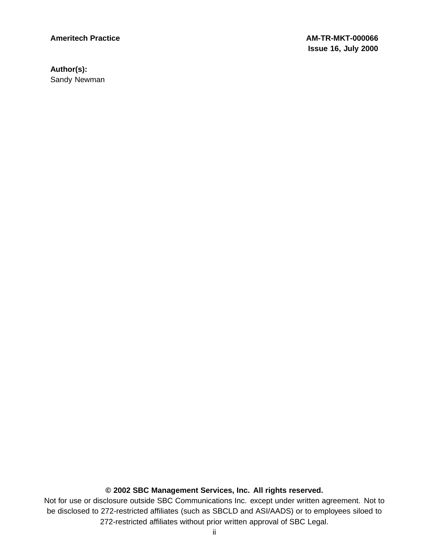# **Author(s):**

Sandy Newman

## **© 2002 SBC Management Services, Inc. All rights reserved.**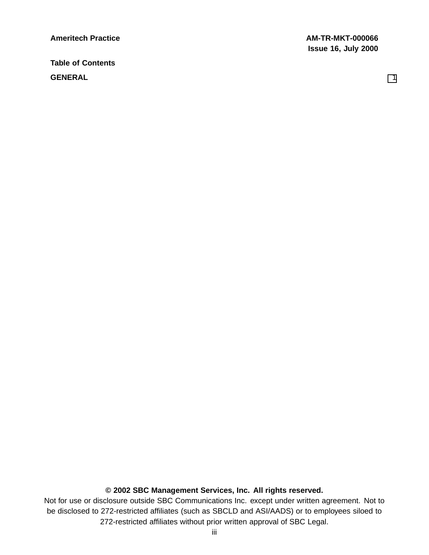**Ameritech Practice AM-TR-MKT-000066**

# **Table of Contents GENERAL** 1

# **© 2002 SBC Management Services, Inc. All rights reserved.**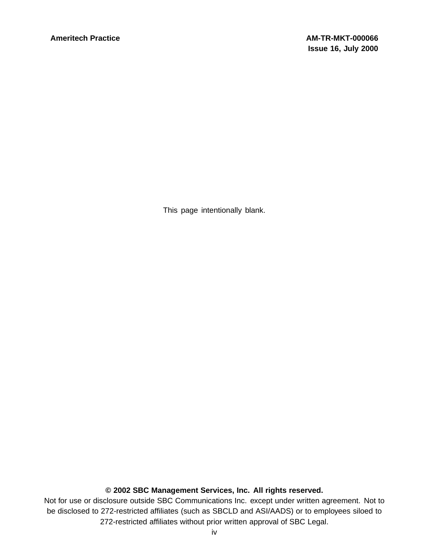This page intentionally blank.

# **© 2002 SBC Management Services, Inc. All rights reserved.**